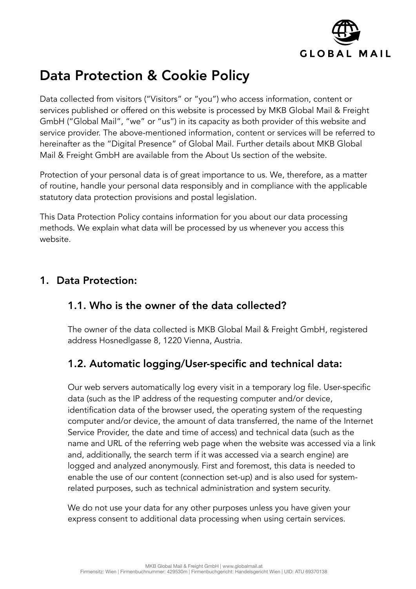

# Data Protection & Cookie Policy

Data collected from visitors ("Visitors" or "you") who access information, content or services published or offered on this website is processed by MKB Global Mail & Freight GmbH ("Global Mail", "we" or "us") in its capacity as both provider of this website and service provider. The above-mentioned information, content or services will be referred to hereinafter as the "Digital Presence" of Global Mail. Further details about MKB Global Mail & Freight GmbH are available from the About Us section of the website.

Protection of your personal data is of great importance to us. We, therefore, as a matter of routine, handle your personal data responsibly and in compliance with the applicable statutory data protection provisions and postal legislation.

This Data Protection Policy contains information for you about our data processing methods. We explain what data will be processed by us whenever you access this website.

## 1. Data Protection:

#### 1.1. Who is the owner of the data collected?

The owner of the data collected is MKB Global Mail & Freight GmbH, registered address Hosnedlgasse 8, 1220 Vienna, Austria.

# 1.2. Automatic logging/User-specific and technical data:

Our web servers automatically log every visit in a temporary log file. User-specific data (such as the IP address of the requesting computer and/or device, identification data of the browser used, the operating system of the requesting computer and/or device, the amount of data transferred, the name of the Internet Service Provider, the date and time of access) and technical data (such as the name and URL of the referring web page when the website was accessed via a link and, additionally, the search term if it was accessed via a search engine) are logged and analyzed anonymously. First and foremost, this data is needed to enable the use of our content (connection set-up) and is also used for systemrelated purposes, such as technical administration and system security.

We do not use your data for any other purposes unless you have given your express consent to additional data processing when using certain services.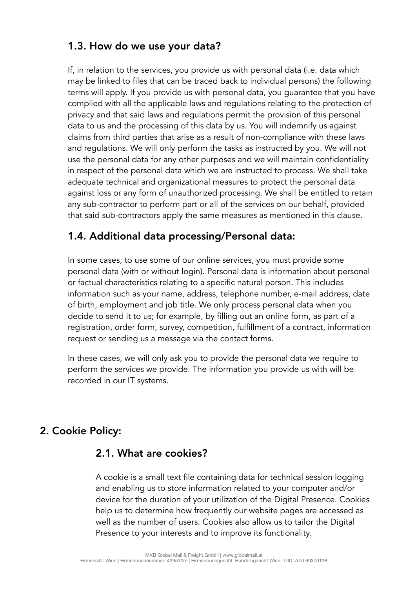## 1.3. How do we use your data?

If, in relation to the services, you provide us with personal data (i.e. data which may be linked to files that can be traced back to individual persons) the following terms will apply. If you provide us with personal data, you guarantee that you have complied with all the applicable laws and regulations relating to the protection of privacy and that said laws and regulations permit the provision of this personal data to us and the processing of this data by us. You will indemnify us against claims from third parties that arise as a result of non-compliance with these laws and regulations. We will only perform the tasks as instructed by you. We will not use the personal data for any other purposes and we will maintain confidentiality in respect of the personal data which we are instructed to process. We shall take adequate technical and organizational measures to protect the personal data against loss or any form of unauthorized processing. We shall be entitled to retain any sub-contractor to perform part or all of the services on our behalf, provided that said sub-contractors apply the same measures as mentioned in this clause.

#### 1.4. Additional data processing/Personal data:

In some cases, to use some of our online services, you must provide some personal data (with or without login). Personal data is information about personal or factual characteristics relating to a specific natural person. This includes information such as your name, address, telephone number, e-mail address, date of birth, employment and job title. We only process personal data when you decide to send it to us; for example, by filling out an online form, as part of a registration, order form, survey, competition, fulfillment of a contract, information request or sending us a message via the contact forms.

In these cases, we will only ask you to provide the personal data we require to perform the services we provide. The information you provide us with will be recorded in our IT systems.

## 2. Cookie Policy:

#### 2.1. What are cookies?

A cookie is a small text file containing data for technical session logging and enabling us to store information related to your computer and/or device for the duration of your utilization of the Digital Presence. Cookies help us to determine how frequently our website pages are accessed as well as the number of users. Cookies also allow us to tailor the Digital Presence to your interests and to improve its functionality.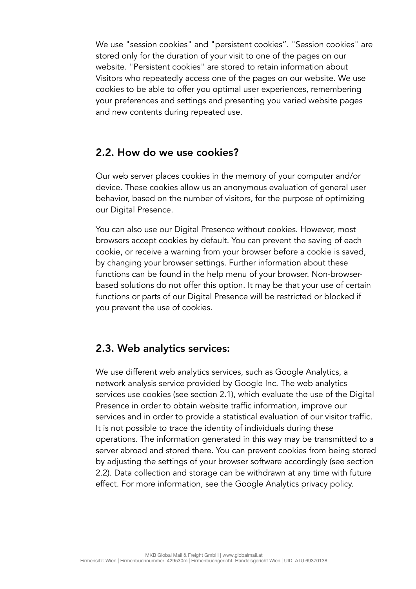We use "session cookies" and "persistent cookies". "Session cookies" are stored only for the duration of your visit to one of the pages on our website. "Persistent cookies" are stored to retain information about Visitors who repeatedly access one of the pages on our website. We use cookies to be able to offer you optimal user experiences, remembering your preferences and settings and presenting you varied website pages and new contents during repeated use.

#### 2.2. How do we use cookies?

Our web server places cookies in the memory of your computer and/or device. These cookies allow us an anonymous evaluation of general user behavior, based on the number of visitors, for the purpose of optimizing our Digital Presence.

You can also use our Digital Presence without cookies. However, most browsers accept cookies by default. You can prevent the saving of each cookie, or receive a warning from your browser before a cookie is saved, by changing your browser settings. Further information about these functions can be found in the help menu of your browser. Non-browserbased solutions do not offer this option. It may be that your use of certain functions or parts of our Digital Presence will be restricted or blocked if you prevent the use of cookies.

#### 2.3. Web analytics services:

We use different web analytics services, such as Google Analytics, a network analysis service provided by Google Inc. The web analytics services use cookies (see section 2.1), which evaluate the use of the Digital Presence in order to obtain website traffic information, improve our services and in order to provide a statistical evaluation of our visitor traffic. It is not possible to trace the identity of individuals during these operations. The information generated in this way may be transmitted to a server abroad and stored there. You can prevent cookies from being stored by adjusting the settings of your browser software accordingly (see section 2.2). Data collection and storage can be withdrawn at any time with future effect. For more information, see the Google Analytics privacy policy.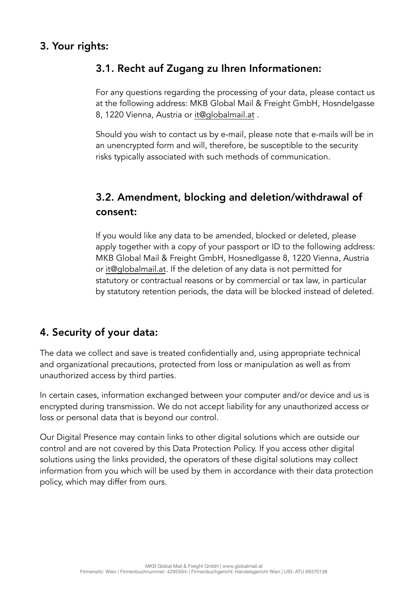## 3. Your rights:

## 3.1. Recht auf Zugang zu Ihren Informationen:

For any questions regarding the processing of your data, please contact us at the following address: MKB Global Mail & Freight GmbH, Hosndelgasse 8, 1220 Vienna, Austria or it@globalmail.at .

Should you wish to contact us by e-mail, please note that e-mails will be in an unencrypted form and will, therefore, be susceptible to the security risks typically associated with such methods of communication.

# 3.2. Amendment, blocking and deletion/withdrawal of consent:

If you would like any data to be amended, blocked or deleted, please apply together with a copy of your passport or ID to the following address: MKB Global Mail & Freight GmbH, Hosnedlgasse 8, 1220 Vienna, Austria or it@globalmail.at. If the deletion of any data is not permitted for statutory or contractual reasons or by commercial or tax law, in particular by statutory retention periods, the data will be blocked instead of deleted.

# 4. Security of your data:

The data we collect and save is treated confidentially and, using appropriate technical and organizational precautions, protected from loss or manipulation as well as from unauthorized access by third parties.

In certain cases, information exchanged between your computer and/or device and us is encrypted during transmission. We do not accept liability for any unauthorized access or loss or personal data that is beyond our control.

Our Digital Presence may contain links to other digital solutions which are outside our control and are not covered by this Data Protection Policy. If you access other digital solutions using the links provided, the operators of these digital solutions may collect information from you which will be used by them in accordance with their data protection policy, which may differ from ours.